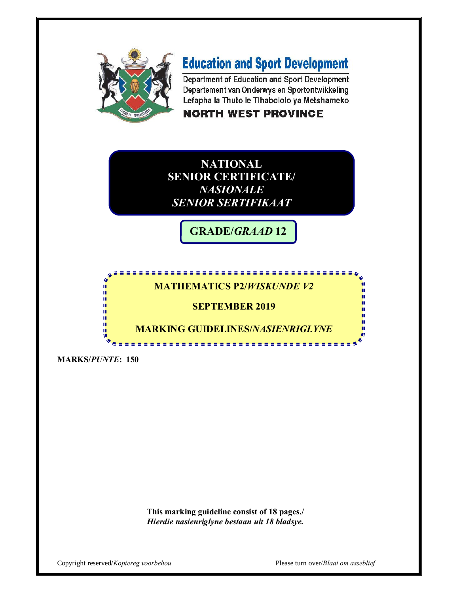

# **Education and Sport Development**

Department of Education and Sport Development Departement van Onderwys en Sportontwikkeling Lefapha la Thuto le Tihabololo ya Metshameko

### **NORTH WEST PROVINCE**

**NATIONAL SENIOR CERTIFICATE/**  *NASIONALE SENIOR SERTIFIKAAT*

**GRADE/***GRAAD* **12**

### **MATHEMATICS P2/***WISKUNDE V2*

#### **SEPTEMBER 2019**

**MARKING GUIDELINES/***NASIENRIGLYNE*

**MARKS/***PUNTE***: 150**

I. ı. ú ΙĒ, п. ú ΙÚ, 唓

> **This marking guideline consist of 18 pages./** *Hierdie nasienriglyne bestaan uit 18 bladsye.*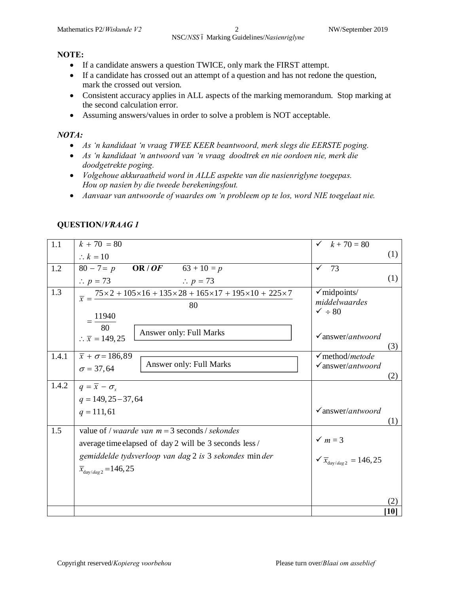#### **NOTE:**

- · If a candidate answers a question TWICE, only mark the FIRST attempt.
- · If a candidate has crossed out an attempt of a question and has not redone the question, mark the crossed out version.
- Consistent accuracy applies in ALL aspects of the marking memorandum. Stop marking at the second calculation error.
- · Assuming answers/values in order to solve a problem is NOT acceptable.

#### *NOTA:*

- · *As 'n kandidaat 'n vraag TWEE KEER beantwoord, merk slegs die EERSTE poging.*
- · *As 'n kandidaat 'n antwoord van 'n vraag doodtrek en nie oordoen nie, merk die doodgetrekte poging.*
- · *Volgehoue akkuraatheid word in ALLE aspekte van die nasienriglyne toegepas. Hou op nasien by die tweede berekeningsfout.*
- · *Aanvaar van antwoorde of waardes om 'n probleem op te los, word NIE toegelaat nie.*

| 1.1   | $k + 70 = 80$                                                                                                                                                     | $k + 70 = 80$                                            |      |
|-------|-------------------------------------------------------------------------------------------------------------------------------------------------------------------|----------------------------------------------------------|------|
|       | $\therefore k = 10$                                                                                                                                               |                                                          | (1)  |
| 1.2   | <b>OR</b> / <b><i>OF</i></b> 63 + 10 = <i>p</i><br>$80 - 7 = p$                                                                                                   | 73<br>✓                                                  |      |
|       | $\therefore p = 73$<br>$\therefore p = 73$                                                                                                                        |                                                          | (1)  |
| 1.3   | $\overline{x} = \frac{75 \times 2 + 105 \times 16 + 135 \times 28 + 165 \times 17 + 195 \times 10 + 225 \times 7}{155 \times 10 + 195 \times 10 + 195 \times 10}$ | $\checkmark$ midpoints/                                  |      |
|       | 80                                                                                                                                                                | middelwaardes                                            |      |
|       | 11940                                                                                                                                                             | $\sqrt{ } \div 80$                                       |      |
|       | 80<br>Answer only: Full Marks                                                                                                                                     |                                                          |      |
|       | $\therefore \overline{x} = 149,25$                                                                                                                                | $\checkmark$ answer/antwoord                             |      |
| 1.4.1 | $\bar{x} + \sigma = 186,89$                                                                                                                                       | $\checkmark$ method/ <i>metode</i>                       | (3)  |
|       | Answer only: Full Marks<br>$\sigma = 37,64$                                                                                                                       | $\checkmark$ answer/antwoord                             |      |
|       |                                                                                                                                                                   |                                                          | (2)  |
| 1.4.2 | $q = \overline{x} - \sigma_{\rm r}$                                                                                                                               |                                                          |      |
|       | $q = 149, 25 - 37, 64$                                                                                                                                            |                                                          |      |
|       | $q = 111, 61$                                                                                                                                                     | $\checkmark$ answer/antwoord                             |      |
|       |                                                                                                                                                                   |                                                          | (1)  |
| 1.5   | value of / <i>waarde van m</i> = 3 seconds / <i>sekondes</i>                                                                                                      | $\checkmark$ m = 3                                       |      |
|       | average time elapsed of day 2 will be 3 seconds less /                                                                                                            |                                                          |      |
|       | gemiddelde tydsverloop van dag 2 is 3 sekondes minder                                                                                                             | $\sqrt{\overline{x}}_{\text{day}/\text{dag 2}} = 146,25$ |      |
|       | $\bar{x}_{day/day2} = 146, 25$                                                                                                                                    |                                                          |      |
|       |                                                                                                                                                                   |                                                          |      |
|       |                                                                                                                                                                   |                                                          |      |
|       |                                                                                                                                                                   |                                                          | (2)  |
|       |                                                                                                                                                                   |                                                          | [10] |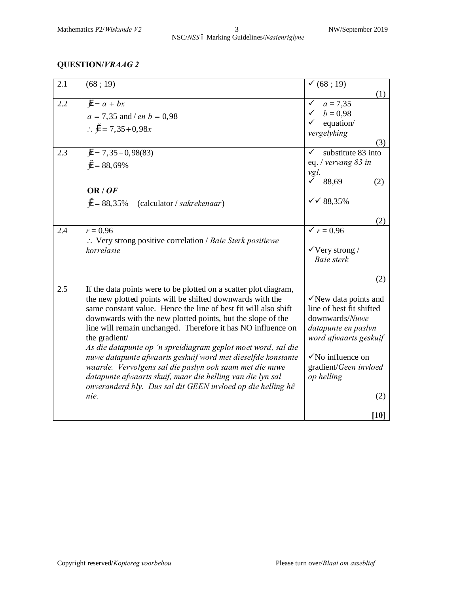| 2.1 | (68; 19)                                                                      | (68; 19)                                     |
|-----|-------------------------------------------------------------------------------|----------------------------------------------|
|     |                                                                               | (1)                                          |
| 2.2 | $\ddot{v} = a + bx$                                                           | $a = 7,35$<br>✓                              |
|     | $a = 7,35$ and / en $b = 0,98$                                                | $b = 0.98$                                   |
|     | :. $\ddot{y} = 7,35+0,98x$                                                    | equation/                                    |
|     |                                                                               | vergelyking<br>(3)                           |
| 2.3 | $\mathcal{Y} = 7,35+0,98(83)$                                                 | substitute 83 into<br>✓                      |
|     |                                                                               | eq. / vervang 83 in                          |
|     | $\ddot{v} = 88,69\%$                                                          | vgl.                                         |
|     |                                                                               | $\sqrt{88,69}$<br>(2)                        |
|     | OR/OF                                                                         |                                              |
|     | $\ddot{v} = 88,35\%$<br>(calculator / sakrekenaar)                            | $\checkmark$ 68,35%                          |
|     |                                                                               |                                              |
| 2.4 | $r = 0.96$                                                                    | (2)<br>$\sqrt{r} = 0.96$                     |
|     | $\therefore$ Very strong positive correlation / Baie Sterk positiewe          |                                              |
|     | korrelasie                                                                    | $\sqrt{V}$ Very strong /                     |
|     |                                                                               | Baie sterk                                   |
|     |                                                                               |                                              |
|     |                                                                               | (2)                                          |
| 2.5 | If the data points were to be plotted on a scatter plot diagram,              |                                              |
|     | the new plotted points will be shifted downwards with the                     | $\checkmark$ New data points and             |
|     | same constant value. Hence the line of best fit will also shift               | line of best fit shifted                     |
|     | downwards with the new plotted points, but the slope of the                   | downwards/Nuwe                               |
|     | line will remain unchanged. Therefore it has NO influence on<br>the gradient/ | datapunte en paslyn<br>word afwaarts geskuif |
|     | As die datapunte op 'n spreidiagram geplot moet word, sal die                 |                                              |
|     | nuwe datapunte afwaarts geskuif word met dieselfde konstante                  | $\sqrt{N}$ influence on                      |
|     | waarde. Vervolgens sal die paslyn ook saam met die nuwe                       | gradient/Geen invloed                        |
|     | datapunte afwaarts skuif, maar die helling van die lyn sal                    | op helling                                   |
|     | onveranderd bly. Dus sal dit GEEN invloed op die helling hê                   |                                              |
|     | nie.                                                                          | (2)                                          |
|     |                                                                               |                                              |
|     |                                                                               | [10]                                         |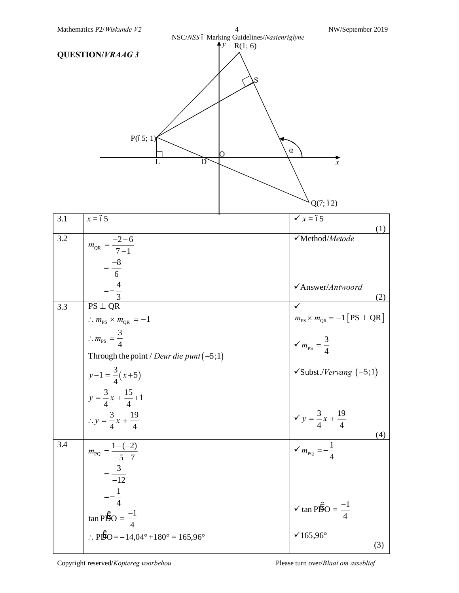| NSC/NSS ó Marking Guidelines/Nasienriglyne<br>R(1; 6)<br><b>QUESTION/VRAAG 3</b><br>P(65; 1)<br>$\alpha$<br>$\overline{x}$<br>L<br>D |                                                                                                                                                                                           |                                                                                                                                |  |
|--------------------------------------------------------------------------------------------------------------------------------------|-------------------------------------------------------------------------------------------------------------------------------------------------------------------------------------------|--------------------------------------------------------------------------------------------------------------------------------|--|
|                                                                                                                                      |                                                                                                                                                                                           | Q(7; 62)                                                                                                                       |  |
| 3.1                                                                                                                                  | $x = 65$                                                                                                                                                                                  | $\checkmark$ x = 65<br>(1)                                                                                                     |  |
| 3.2                                                                                                                                  | $m_{QR} = \frac{-2 - 6}{7 - 1}$<br>$=\frac{-8}{6}$<br>$=-\frac{4}{3}$                                                                                                                     | √Method/Metode                                                                                                                 |  |
|                                                                                                                                      |                                                                                                                                                                                           | $\checkmark$ Answer/Antwoord<br>(2)                                                                                            |  |
| 3.3                                                                                                                                  | $PS \perp QR$<br>$\therefore m_{\rm PS} \times m_{\rm QR} = -1$<br>$\therefore m_{\text{PS}} = \frac{3}{4}$<br>Through the point / Deur die punt $(-5;1)$                                 | $m_{PS} \times m_{QR} = -1$ [PS $\perp$ QR]<br>$\checkmark$ $m_{\rm PS} = \frac{3}{4}$<br>$\checkmark$ Subst./Vervang $(-5;1)$ |  |
|                                                                                                                                      | $y-1 = \frac{3}{4}(x+5)$<br>$y = \frac{3}{4}x + \frac{15}{4} + 1$<br>$\therefore y = \frac{3}{4}x + \frac{19}{4}$                                                                         | $y = \frac{3}{4}x + \frac{19}{4}$<br>(4)                                                                                       |  |
| 3.4                                                                                                                                  | $m_{\text{PQ}} = \frac{1 - (-2)}{-5 - 7}$<br>$=\frac{3}{-12}$<br>$=-\frac{1}{4}$<br>$\tan P\ddot{D}O = \frac{-1}{4}$<br>: $\angle$ PD $O = -14,04^{\circ} + 180^{\circ} = 165,96^{\circ}$ | $\sqrt{m_{\rm PQ}} = -\frac{1}{4}$<br>$\checkmark$ tan PDO = $\frac{-1}{4}$<br>$\times 165,96^{\circ}$<br>(3)                  |  |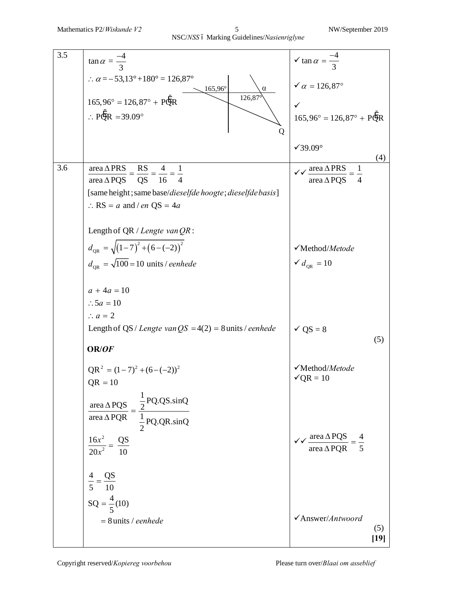| 3.5   | $\tan \alpha = \frac{-4}{3}$                                                                                        | $\sqrt{\tan \alpha} = \frac{-4}{3}$                     |
|-------|---------------------------------------------------------------------------------------------------------------------|---------------------------------------------------------|
|       | $\therefore \alpha = -53.13^{\circ} + 180^{\circ} = 126.87^{\circ}$<br>165,96°<br>$\alpha$                          | $\checkmark$ $\alpha$ = 126,87°                         |
|       | $126,87^{\circ}$<br>$165,96^{\circ} = 126,87^{\circ} + PQR$                                                         |                                                         |
|       | $\therefore$ PQR = 39.09°                                                                                           | $165,96^{\circ} = 126,87^{\circ} + PQR$                 |
|       | Q                                                                                                                   |                                                         |
|       |                                                                                                                     | $\sqrt{39.09^\circ}$                                    |
| $3.6$ | area $\Delta$ PRS                                                                                                   | (4)<br>$\sqrt{\sqrt{\text{area } \Delta PRS}}$          |
|       | $rac{RS}{OS} = \frac{4}{16} = \frac{1}{4}$<br>area $\triangle$ PQS                                                  | area $\triangle$ POS                                    |
|       | [same height; same base/dieselfde hoogte; dieselfde basis]                                                          |                                                         |
|       | $\therefore$ RS = a and / en QS = 4a                                                                                |                                                         |
|       | Length of QR / Lengte van $QR$ :                                                                                    |                                                         |
|       |                                                                                                                     |                                                         |
|       | $d_{\text{QR}} = \sqrt{(1-7)^2 + (6-(-2))^2}$                                                                       | √Method/Metode                                          |
|       | $d_{\text{OR}} = \sqrt{100} = 10$ units / eenhede                                                                   | $\checkmark d$ <sub>OR</sub> = 10                       |
|       | $a + 4a = 10$                                                                                                       |                                                         |
|       | $\therefore$ 5a = 10                                                                                                |                                                         |
|       | $\therefore a = 2$                                                                                                  |                                                         |
|       | Length of QS / Lengte van $QS = 4(2) = 8$ units / eenhede                                                           | $\checkmark$ QS = 8                                     |
|       | OR/OF                                                                                                               | (5)                                                     |
|       | $QR^{2} = (1-7)^{2} + (6-(-2))^{2}$                                                                                 | √Method/Metode                                          |
|       | $QR = 10$                                                                                                           | $\sqrt{QR} = 10$                                        |
|       |                                                                                                                     |                                                         |
|       | $\frac{\text{area } \Delta PQS}{\text{area } \Delta PQR} = \frac{\frac{1}{2}PQ.QS.\sin Q}{\frac{1}{2}PQ.QR.\sin Q}$ |                                                         |
|       |                                                                                                                     |                                                         |
|       | $\frac{16x^2}{20x^2} = \frac{QS}{10}$                                                                               | $\sqrt{\sqrt{\text{area } \Delta PQS}}$ = $\frac{4}{5}$ |
|       |                                                                                                                     |                                                         |
|       |                                                                                                                     |                                                         |
|       | $\frac{4}{5} = \frac{QS}{10}$                                                                                       |                                                         |
|       | $SQ = \frac{4}{5}(10)$                                                                                              |                                                         |
|       | $= 8$ units / eenhede                                                                                               | √Answer/Antwoord                                        |
|       |                                                                                                                     | (5)<br>$[19]$                                           |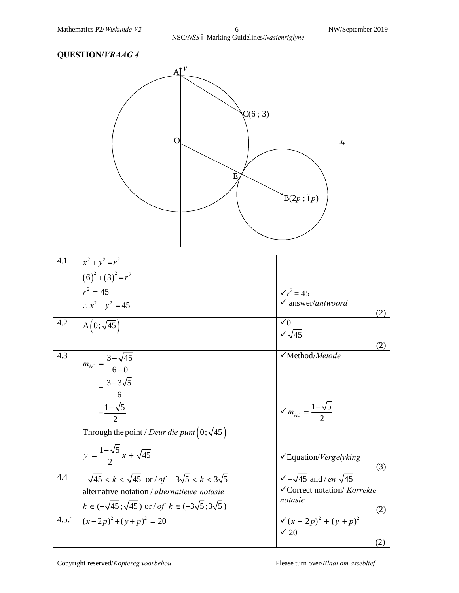

| 4.1   | $x^2 + y^2 = r^2$                                                       |                                                                  |
|-------|-------------------------------------------------------------------------|------------------------------------------------------------------|
|       | $(6)^{2}+(3)^{2}=r^{2}$                                                 |                                                                  |
|       | $r^2 = 45$                                                              | $\sqrt{r^2} = 45$                                                |
|       | $\therefore x^2 + y^2 = 45$                                             | $\checkmark$ answer/antwoord                                     |
|       |                                                                         | (2)                                                              |
| 4.2   | $A(0;\sqrt{45})$                                                        | $\checkmark$ 0                                                   |
|       |                                                                         | $\sqrt{\sqrt{45}}$                                               |
| 4.3   |                                                                         | (2)<br>√Method/Metode                                            |
|       | $m_{AC} = \frac{3 - \sqrt{45}}{6 - \theta}$                             |                                                                  |
|       |                                                                         |                                                                  |
|       | $=\frac{3-3\sqrt{5}}{6}$                                                |                                                                  |
|       |                                                                         |                                                                  |
|       | $=\frac{1-\sqrt{5}}{2}$                                                 | $\checkmark$ $m_{\text{AC}} = \frac{1-\sqrt{5}}{2}$              |
|       |                                                                         |                                                                  |
|       | Through the point / Deur die punt $(0;\sqrt{45})$                       |                                                                  |
|       |                                                                         |                                                                  |
|       | $y = \frac{1-\sqrt{5}}{2}x + \sqrt{45}$                                 | $\checkmark$ Equation/ <i>Vergelyking</i>                        |
|       |                                                                         | (3)                                                              |
| 4.4   | $-\sqrt{45} < k < \sqrt{45}$ or / of $-3\sqrt{5} < k < 3\sqrt{5}$       | $\sqrt{-\sqrt{45}}$ and / en $\sqrt{45}$                         |
|       | alternative notation / alternatiewe notasie                             | √Correct notation/ Korrekte                                      |
|       | $k \in (-\sqrt{45}; \sqrt{45})$ or / of $k \in (-3\sqrt{5}; 3\sqrt{5})$ | notasie                                                          |
| 4.5.1 | $(x-2p)^2 + (y+p)^2 = 20$                                               | (2)<br>$\checkmark$ (x - 2p) <sup>2</sup> + (y + p) <sup>2</sup> |
|       |                                                                         | $\checkmark$ 20                                                  |
|       |                                                                         | (2)                                                              |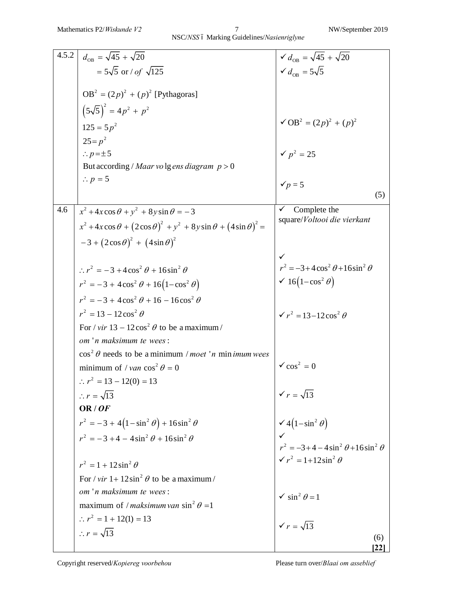| 4.5.2 | $d_{\text{OB}} = \sqrt{45} + \sqrt{20}$                                                         | $\sqrt{d_{\text{OR}}} = \sqrt{45} + \sqrt{20}$            |
|-------|-------------------------------------------------------------------------------------------------|-----------------------------------------------------------|
|       |                                                                                                 |                                                           |
|       | $= 5\sqrt{5}$ or / of $\sqrt{125}$                                                              | $\checkmark d_{\text{OR}} = 5\sqrt{5}$                    |
|       | $OB^2 = (2p)^2 + (p)^2$ [Pythagoras]                                                            |                                                           |
|       | $(5\sqrt{5})^2 = 4p^2 + p^2$                                                                    |                                                           |
|       | $125 = 5p^2$                                                                                    | $\sqrt{OB^2} = (2p)^2 + (p)^2$                            |
|       | $25 = p^2$                                                                                      |                                                           |
|       | $\therefore p = \pm 5$                                                                          | $\checkmark$ $p^2 = 25$                                   |
|       | But according / Maar volg ens diagram $p > 0$                                                   |                                                           |
|       | $\therefore p = 5$                                                                              | $\checkmark p=5$                                          |
|       |                                                                                                 | (5)                                                       |
| 4.6   | $x^2 + 4x\cos\theta + y^2 + 8y\sin\theta = -3$                                                  | Complete the<br>✓                                         |
|       | $x^{2} + 4x \cos \theta + (2 \cos \theta)^{2} + y^{2} + 8y \sin \theta + (4 \sin \theta)^{2} =$ | square/Voltooi die vierkant                               |
|       | $-3+(2\cos\theta)^2+(4\sin\theta)^2$                                                            |                                                           |
|       |                                                                                                 |                                                           |
|       | $\therefore r^2 = -3 + 4\cos^2\theta + 16\sin^2\theta$                                          | $r^2 = -3 + 4\cos^2\theta + 16\sin^2\theta$               |
|       |                                                                                                 | $\checkmark$ 16(1–cos <sup>2</sup> $\theta$ )             |
|       | $r^{2} = -3 + 4\cos^{2} \theta + 16(1-\cos^{2} \theta)$                                         |                                                           |
|       | $r^{2} = -3 + 4\cos^{2} \theta + 16 - 16\cos^{2} \theta$                                        |                                                           |
|       | $r^2 = 13 - 12 \cos^2 \theta$                                                                   | $\sqrt{r^2} = 13 - 12 \cos^2 \theta$                      |
|       | For / vir $13 - 12\cos^2 \theta$ to be a maximum /                                              |                                                           |
|       | om 'n maksimum te wees:                                                                         |                                                           |
|       | $\cos^2 \theta$ needs to be a minimum / <i>moet</i> 'n min <i>imum</i> wees                     |                                                           |
|       | minimum of / van $\cos^2 \theta = 0$                                                            | $\sqrt{\cos^2} = 0$                                       |
|       | $\therefore$ $r^2 = 13 - 12(0) = 13$                                                            |                                                           |
|       | $\therefore r = \sqrt{13}$                                                                      | $\sqrt{r} = \sqrt{13}$                                    |
|       | OR/OF                                                                                           |                                                           |
|       | $r^{2} = -3 + 4(1 - \sin^{2} \theta) + 16\sin^{2} \theta$                                       | $\checkmark$ 4(1-sin <sup>2</sup> $\theta$ )              |
|       | $r^{2} = -3 + 4 - 4\sin^{2} \theta + 16\sin^{2} \theta$                                         |                                                           |
|       |                                                                                                 | $r^{2} = -3 + 4 - 4 \sin^{2} \theta + 16 \sin^{2} \theta$ |
|       | $r^{2} = 1 + 12 \sin^{2} \theta$                                                                | $\sqrt{r^2} = 1 + 12 \sin^2 \theta$                       |
|       | For / vir $1+12\sin^2\theta$ to be a maximum /                                                  |                                                           |
|       | om 'n maksimum te wees:                                                                         | $\checkmark$ sin <sup>2</sup> $\theta$ = 1                |
|       | maximum of / maksimum van sin <sup>2</sup> $\theta$ =1                                          |                                                           |
|       | $\therefore$ $r^2 = 1 + 12(1) = 13$                                                             | $\sqrt{r} = \sqrt{13}$                                    |
|       | $\therefore r = \sqrt{13}$                                                                      | (6)                                                       |
|       |                                                                                                 | 22                                                        |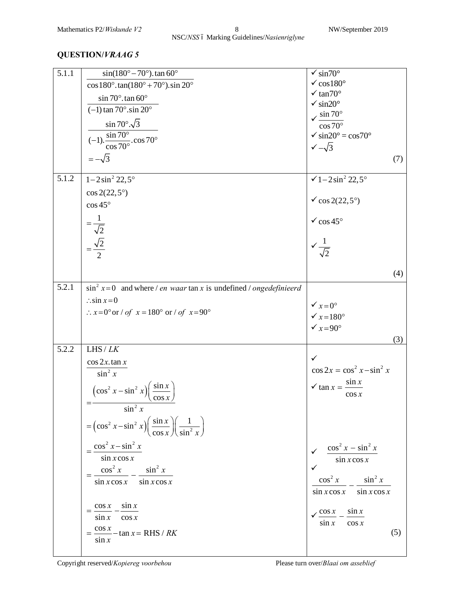| 5.1.1 | $sin(180^\circ - 70^\circ)$ . tan 60°                                                                | $\sqrt{\sin 70^\circ}$                                                               |
|-------|------------------------------------------------------------------------------------------------------|--------------------------------------------------------------------------------------|
|       | $\cos 180^\circ \cdot \tan(180^\circ + 70^\circ) \cdot \sin 20^\circ$                                | $\checkmark$ cos 180 $^{\circ}$                                                      |
|       | $\sin 70^\circ$ . tan 60°                                                                            | $\times$ tan70°                                                                      |
|       | $(-1)$ tan 70° sin 20°                                                                               | $\sqrt{\sin 20^\circ}$                                                               |
|       |                                                                                                      | $\sqrt{\frac{\sin 70^{\circ}}{\cos 70^{\circ}}}$                                     |
|       | $\sin 70^\circ \sqrt{3}$                                                                             |                                                                                      |
|       | $\frac{\sin 70^{\circ}}{\cos 70^{\circ}} \cdot \cos 70^{\circ}$                                      | $\checkmark$ sin20° = cos70°                                                         |
|       |                                                                                                      | $\sqrt{-\sqrt{3}}$                                                                   |
|       | $=-\sqrt{3}$                                                                                         | (7)                                                                                  |
| 5.1.2 | $1 - 2\sin^2 22, 5^\circ$                                                                            | $\sqrt{1-2\sin^2 22.5^\circ}$                                                        |
|       |                                                                                                      |                                                                                      |
|       | $\cos 2(22,5^{\circ})$                                                                               |                                                                                      |
|       | $\cos 45^\circ$                                                                                      |                                                                                      |
|       |                                                                                                      |                                                                                      |
|       | $=\frac{1}{\sqrt{2}}$ $=\frac{\sqrt{2}}{2}$                                                          | $\sqrt{\cos 2(22,5^\circ)}$<br>$\sqrt{\cos 45^\circ}$<br>$\sqrt{\frac{1}{\sqrt{2}}}$ |
|       |                                                                                                      |                                                                                      |
|       |                                                                                                      |                                                                                      |
|       |                                                                                                      |                                                                                      |
|       |                                                                                                      | (4)                                                                                  |
| 5.2.1 | $\sin^2 x = 0$ and where / <i>en waar</i> tan x is undefined / <i>ongedefinieerd</i>                 |                                                                                      |
|       | $\therefore$ sin $x=0$                                                                               |                                                                                      |
|       | $\therefore$ x = 0° or / of x = 180° or / of x = 90°                                                 | $\sqrt{x} = 0^{\circ}$<br>$\sqrt{x} = 180^{\circ}$<br>$\sqrt{x} = 90^{\circ}$        |
|       |                                                                                                      |                                                                                      |
|       |                                                                                                      |                                                                                      |
| 5.2.2 | $L$ HS / $LK$                                                                                        | (3)                                                                                  |
|       |                                                                                                      |                                                                                      |
|       | $\cos 2x \cdot \tan x$                                                                               | $\cos 2x = \cos^2 x - \sin^2 x$                                                      |
|       | $\sin^2 x$                                                                                           |                                                                                      |
|       | $\left(\cos^2 x - \sin^2 x\right)\left(\frac{\sin x}{\cos x}\right)$                                 | $\checkmark$ tan $x = \frac{\sin x}{x}$                                              |
|       |                                                                                                      |                                                                                      |
|       | $\sin^2 x$                                                                                           |                                                                                      |
|       | $=\left(\cos^2 x - \sin^2 x\right)\left(\frac{\sin x}{\cos x}\right)\left(\frac{1}{\sin^2 x}\right)$ |                                                                                      |
|       | $\cos^2 x - \sin^2 x$                                                                                | $\cos^2 x - \sin^2 x$                                                                |
|       | $\sin x \cos x$                                                                                      | $\sin x \cos x$                                                                      |
|       | $\cos^2 x$ $\sin^2 x$                                                                                |                                                                                      |
|       |                                                                                                      | $\cos^2 x$<br>$\sin^2 x$                                                             |
|       | $\sin x \cos x$ $\sin x \cos x$                                                                      | $\sin x \cos x$ $\sin x \cos x$                                                      |
|       |                                                                                                      |                                                                                      |
|       | $\sin x$<br>$\cos x$<br>$=$                                                                          | $\sin x$<br>$\cos x$                                                                 |
|       | $\sin x$<br>$\cos x$                                                                                 | $\sin x$<br>$\cos x$                                                                 |
|       | $=\frac{\cos x}{\cos x}-\tan x=RHS/RK$                                                               | (5)                                                                                  |
|       | $\sin x$                                                                                             |                                                                                      |
|       |                                                                                                      |                                                                                      |

#### Copyright reserved/*Kopiereg voorbehou* Please turn over/*Blaai om asseblief*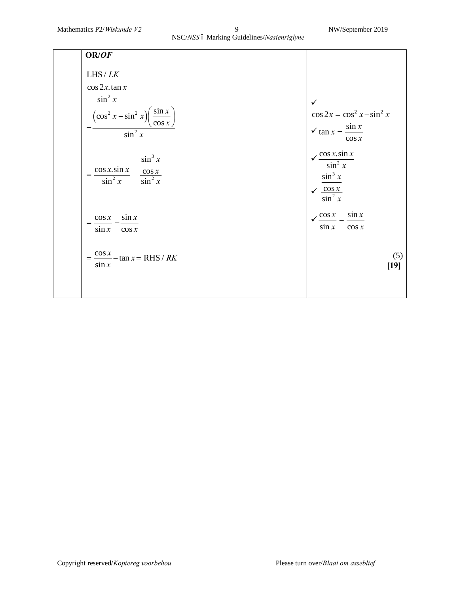### NSC/*NSS* ó Marking Guidelines/*Nasienriglyne*

| OR/OF                                                                      |                                                     |
|----------------------------------------------------------------------------|-----------------------------------------------------|
| $L$ HS / $LK$                                                              |                                                     |
| $\cos 2x \cdot \tan x$                                                     |                                                     |
| $\sin^2 x$                                                                 | $\checkmark$                                        |
| $\left(\frac{\sin x}{\cos x}\right)$<br>$\left(\cos^2 x - \sin^2 x\right)$ | $\cos 2x = \cos^2 x - \sin^2 x$                     |
| $\sin^2 x$                                                                 | $\checkmark$ tan $x = \frac{\sin x}{x}$<br>$\cos x$ |
| $\sin^3 x$<br>$\cos x.\sin x$<br>$\cos x$<br>$\sin^2 x$<br>$\sin^2 x$      | $\cos x.\sin x$<br>$\sin^2 x$<br>$\sin^3 x$         |
|                                                                            | $\frac{\cos x}{\sin^2 x}$                           |
| $\sin x$<br>$\cos x$<br>$=$<br>$\sin x$<br>$\cos x$                        | $\sin x$<br>$\cos x$<br>$\sin x$<br>$\cos x$        |
| $=\frac{\cos x}{1}$ - tan x = RHS / RK<br>$\sin x$                         | (5)<br>$[19]$                                       |
|                                                                            |                                                     |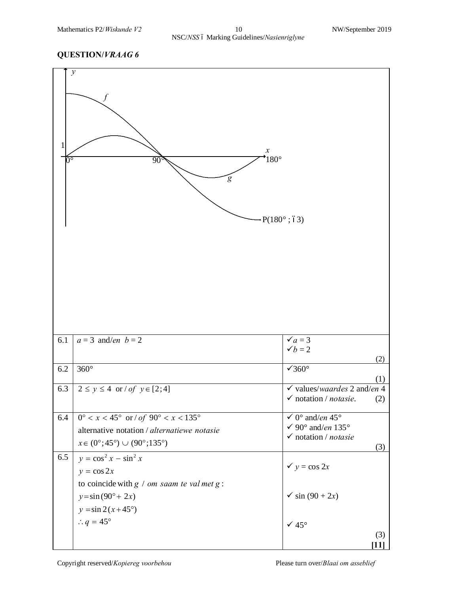| $\checkmark a=3$<br>$a = 3$ and/en $b = 2$<br>6.1<br>$\checkmark b=2$<br>$\sqrt{360^\circ}$<br>$360^\circ$<br>$6.2\,$<br>6.3<br>$2 \le y \le 4$ or $\int$ $of$ $y \in [2, 4]$<br>$\checkmark$ notation / notasie.<br>$0^{\circ} < x < 45^{\circ}$ or / of $90^{\circ} < x < 135^{\circ}$<br>$\checkmark$ 0° and/en 45°<br>6.4<br>√ 90° and/en 135°<br>alternative notation / alternatiewe notasie<br>$\checkmark$ notation / notasie<br>$x \in (0^{\circ}; 45^{\circ}) \cup (90^{\circ}; 135^{\circ})$<br>$y = cos2 x - sin2 x$<br>6.5<br>$y = \cos 2x$<br>$y = \cos 2x$<br>to coincide with $g / om saam$ te val met $g$ :<br>$\checkmark$ sin (90 + 2x)<br>$y = \sin(90^\circ + 2x)$<br>$y = \sin 2(x + 45^{\circ})$ | $\sqrt{\circ}$ | $\mathcal{Y}$<br>$\boldsymbol{\mathcal{X}}$<br>$180^\circ$<br>$\overline{90}$<br>$\overline{g}$<br>$\cdot P(180^{\circ} ; 63)$ |                                               |
|------------------------------------------------------------------------------------------------------------------------------------------------------------------------------------------------------------------------------------------------------------------------------------------------------------------------------------------------------------------------------------------------------------------------------------------------------------------------------------------------------------------------------------------------------------------------------------------------------------------------------------------------------------------------------------------------------------------------|----------------|--------------------------------------------------------------------------------------------------------------------------------|-----------------------------------------------|
|                                                                                                                                                                                                                                                                                                                                                                                                                                                                                                                                                                                                                                                                                                                        |                |                                                                                                                                | (2)                                           |
|                                                                                                                                                                                                                                                                                                                                                                                                                                                                                                                                                                                                                                                                                                                        |                |                                                                                                                                | (1)                                           |
|                                                                                                                                                                                                                                                                                                                                                                                                                                                                                                                                                                                                                                                                                                                        |                |                                                                                                                                | $\checkmark$ values/waardes 2 and/en 4<br>(2) |
|                                                                                                                                                                                                                                                                                                                                                                                                                                                                                                                                                                                                                                                                                                                        |                |                                                                                                                                | (3)                                           |
|                                                                                                                                                                                                                                                                                                                                                                                                                                                                                                                                                                                                                                                                                                                        |                | $\therefore q = 45^{\circ}$                                                                                                    | $\checkmark$ 45°<br>(3)<br>11                 |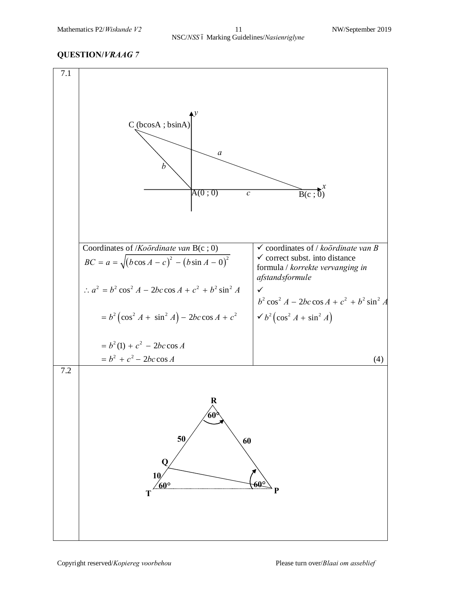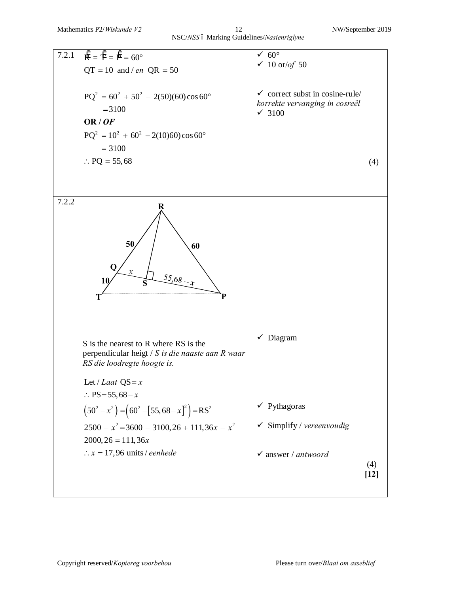#### Mathematics P2/*Wiskunde V2* 12 NW/September 2019 NSC/*NSS* 6 Marking Guidelines/*Nasienriglyne*

| 7.2.1 | $\ddot{R} = \ddot{T} = \ddot{P} = 60^{\circ}$                                             | $\sqrt{60^\circ}$                                   |
|-------|-------------------------------------------------------------------------------------------|-----------------------------------------------------|
|       | $QT = 10$ and / en $QR = 50$                                                              | $\checkmark$ 10 or/of 50                            |
|       |                                                                                           |                                                     |
|       | $PQ^{2} = 60^{2} + 50^{2} - 2(50)(60)\cos 60^{\circ}$                                     | $\checkmark$ correct subst in cosine-rule/          |
|       | $= 3100$                                                                                  | korrekte vervanging in cosreël<br>$\checkmark$ 3100 |
|       | OR/OF                                                                                     |                                                     |
|       | $PQ^{2} = 10^{2} + 60^{2} - 2(10)60 \cos 60^{\circ}$                                      |                                                     |
|       | $= 3100$                                                                                  |                                                     |
|       | $\therefore$ PQ = 55,68                                                                   | (4)                                                 |
|       |                                                                                           |                                                     |
|       |                                                                                           |                                                     |
| 7.2.2 | R                                                                                         |                                                     |
|       |                                                                                           |                                                     |
|       |                                                                                           |                                                     |
|       | 50<br>60                                                                                  |                                                     |
|       |                                                                                           |                                                     |
|       |                                                                                           |                                                     |
|       | $55,68 - x$<br>10                                                                         |                                                     |
|       | P                                                                                         |                                                     |
|       |                                                                                           |                                                     |
|       |                                                                                           |                                                     |
|       |                                                                                           | $\checkmark$ Diagram                                |
|       | S is the nearest to R where RS is the<br>perpendicular heigt / S is die naaste aan R waar |                                                     |
|       | RS die loodregte hoogte is.                                                               |                                                     |
|       |                                                                                           |                                                     |
|       | Let / Laat $QS = x$<br>:: $PS = 55,68 - x$                                                |                                                     |
|       |                                                                                           | $\checkmark$ Pythagoras                             |
|       | $(50^2 - x^2) = (60^2 - [55, 68 - x]^2) = RS^2$                                           |                                                     |
|       | $2500 - x^2 = 3600 - 3100, 26 + 111, 36x - x^2$                                           | $\checkmark$ Simplify / vereenvoudig                |
|       | $2000, 26 = 111, 36x$                                                                     |                                                     |
|       | $\therefore$ x = 17,96 units / eenhede                                                    | $\checkmark$ answer / antwoord                      |
|       |                                                                                           | (4)                                                 |
|       |                                                                                           | $[12]$                                              |
|       |                                                                                           |                                                     |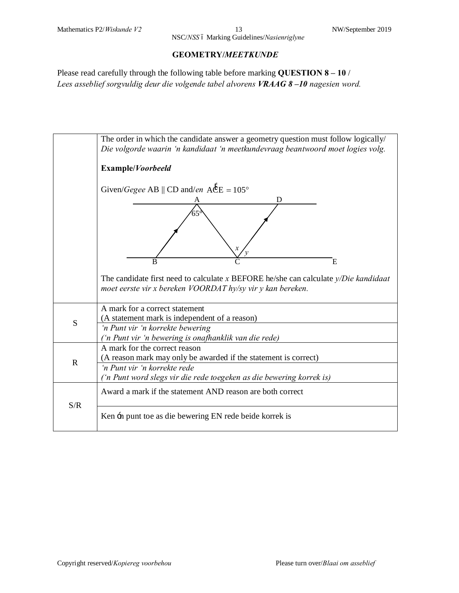NSC/*NSS* ó Marking Guidelines/*Nasienriglyne* 

#### **GEOMETRY/***MEETKUNDE*

Please read carefully through the following table before marking **QUESTION 8 – 10** / *Lees asseblief sorgvuldig deur die volgende tabel alvorens VRAAG 8 –10 nagesien word.*

|             | The order in which the candidate answer a geometry question must follow logically/<br>Die volgorde waarin 'n kandidaat 'n meetkundevraag beantwoord moet logies volg. |
|-------------|-----------------------------------------------------------------------------------------------------------------------------------------------------------------------|
|             | Example/Voorbeeld                                                                                                                                                     |
|             | Given/Gegee AB    CD and/en $\angle$ ACE = 105°<br>Ð                                                                                                                  |
|             |                                                                                                                                                                       |
|             | B<br>E<br>The candidate first need to calculate x BEFORE he/she can calculate $y/Die$ kandidaat<br>moet eerste vir x bereken VOORDAT hy/sy vir y kan bereken.         |
| S           | A mark for a correct statement<br>(A statement mark is independent of a reason)<br>'n Punt vir 'n korrekte bewering                                                   |
|             | ('n Punt vir 'n bewering is onafhanklik van die rede)                                                                                                                 |
| $\mathbf R$ | A mark for the correct reason<br>(A reason mark may only be awarded if the statement is correct)                                                                      |
|             | 'n Punt vir 'n korrekte rede<br>('n Punt word slegs vir die rede toegeken as die bewering korrek is)                                                                  |
| S/R         | Award a mark if the statement AND reason are both correct                                                                                                             |
|             | Ken in punt to as die bewering EN rede beide korrek is                                                                                                                |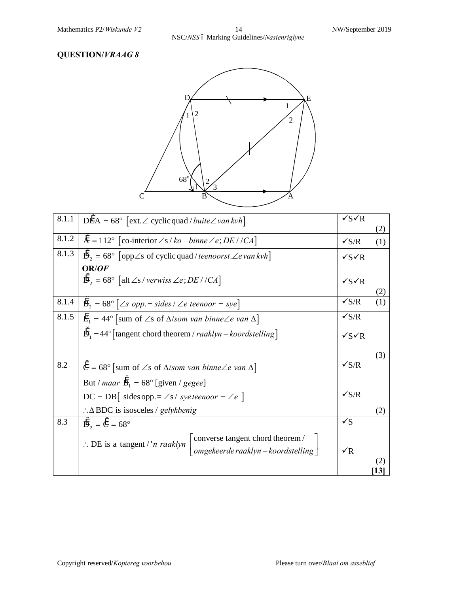Mathematics P2/*Wiskunde V2* 14 NW/September 2019 NSC/*NSS* – Marking Guidelines/*Nasienriglyne*



| 8.1.1 | $D\ddot{E}A = 68^{\circ}$ [ext. $\angle$ cyclic quad / buite $\angle$ van kvh]                        | $\sqrt{s}$ $\sqrt{R}$ | (2)       |
|-------|-------------------------------------------------------------------------------------------------------|-----------------------|-----------|
|       |                                                                                                       |                       |           |
| 8.1.2 | $\ddot{A} = 112^{\circ}$ [co-interior $\angle s / ko - binne \angle e$ ; <i>DE</i> //CA]              | $\sqrt{s/R}$          | (1)       |
| 8.1.3 | $\ddot{D}_2 = 68^\circ$ [opp $\angle$ s of cyclic quad / teenoorst. $\angle$ e van kvh]               | $\sqrt{s}$ $\sqrt{s}$ |           |
|       | OR/OF                                                                                                 |                       |           |
|       | $\ddot{D}_2 = 68^\circ$ [alt $\angle$ s / verwiss $\angle$ e; DE / /CA]                               | $\sqrt{S\sqrt{R}}$    |           |
|       |                                                                                                       |                       | (2)       |
| 8.1.4 | $\ddot{B}_2 = 68^\circ$ $\left[ \angle s$ opp. = sides / $\angle e$ teenoor = sye                     | $\sqrt{s/R}$          |           |
| 8.1.5 | $\ddot{E}_1 = 44^\circ$ [sum of $\angle$ s of $\Delta$ /som van binne $\angle$ e van $\Delta$ ]       | $\sqrt{s/R}$          |           |
|       | $\ddot{D}_1 = 44^\circ$ [tangent chord theorem / raaklyn – koordstelling]                             | $\sqrt{s}$ $R$        |           |
|       |                                                                                                       |                       | (3)       |
|       |                                                                                                       | $\sqrt{s/R}$          |           |
| 8.2   | $\ddot{C} = 68^{\circ}$ [sum of $\angle$ s of $\triangle$ /som van binne $\angle$ e van $\triangle$ ] |                       |           |
|       | But / <i>maar</i> $\ddot{B}_1 = 68^\circ$ [given / gegee]                                             |                       |           |
|       | $DC = DB$ sides opp. = $\angle s /$ syeteenoor = $\angle e$ ]                                         | $\sqrt{s/R}$          |           |
|       | $\therefore \Delta$ BDC is isosceles / gelykbenig                                                     |                       | (2)       |
| 8.3   | $\ddot{D}_{2} = \ddot{C} = 68^{\circ}$                                                                | $\checkmark$          |           |
|       | converse tangent chord theorem /                                                                      |                       |           |
|       | $\therefore$ DE is a tangent /' <i>n raaklyn</i><br>omgekeerde raaklyn - koordstelling                | $\sqrt{R}$            |           |
|       |                                                                                                       |                       | (2)       |
|       |                                                                                                       |                       | <b>13</b> |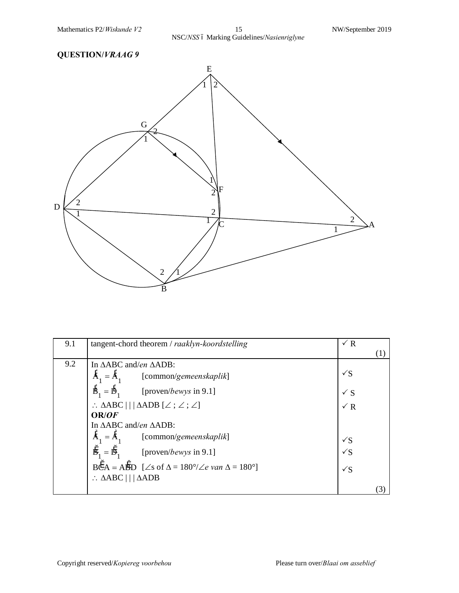

| 9.1 | tangent-chord theorem / raaklyn-koordstelling                                                      | $\sqrt{R}$<br>(1) |
|-----|----------------------------------------------------------------------------------------------------|-------------------|
| 9.2 | In $\triangle ABC$ and/en $\triangle ADB$ :                                                        |                   |
|     | $\ddot{A}_1 = \ddot{A}_1$<br>[common/gemeenskaplik]                                                | $\sqrt{S}$        |
|     | $\ddot{B}_1 = \ddot{D}_1$ [proven/ <i>bewys</i> in 9.1]                                            | $\checkmark$ S    |
|     | $\therefore \triangle ABC \mid   \triangle ADB \; [ \angle \; ; \angle \; ; \angle ]$              | $\sqrt{R}$        |
|     | OR/OF                                                                                              |                   |
|     | In $\triangle ABC$ and/en $\triangle ADB$ :                                                        |                   |
|     | $A_1 = A_1$ [common/gemeenskaplik]                                                                 | $\sqrt{S}$        |
|     | $\ddot{B}_1 = \ddot{D}_1$ [proven/ <i>bewys</i> in 9.1]                                            | $\sqrt{S}$        |
|     | $B\ddot{C}A = A\ddot{B}D$ [ $\angle$ s of $\Delta = 180^\circ/\angle e$ van $\Delta = 180^\circ$ ] | $\sqrt{S}$        |
|     | $\therefore \triangle ABC \mid   \triangle ADB$                                                    |                   |
|     |                                                                                                    | (3)               |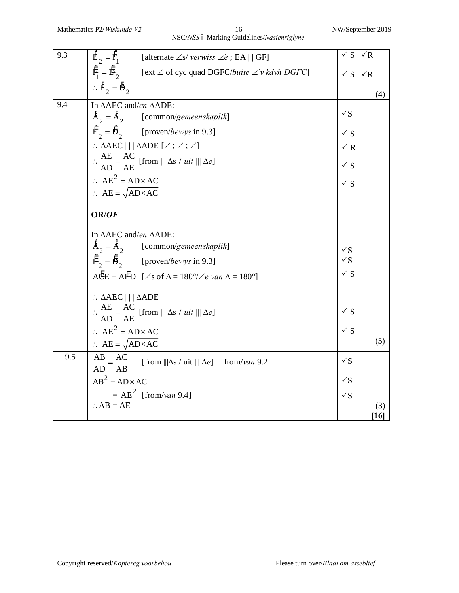Mathematics P2/*Wiskunde V2* 16 NW/September 2019 NSC/*NSS* – Marking Guidelines/*Nasienriglyne*

| 9.3 | $\ddot{E}_{2} = \ddot{F}_{1}$ [alternate $\angle s$ / verwiss $\angle e$ ; EA   GF]                                        | $\checkmark$ S                | $\sqrt{R}$ |
|-----|----------------------------------------------------------------------------------------------------------------------------|-------------------------------|------------|
|     | $\ddot{F}_1 = \ddot{D}_2$<br>[ext $\angle$ of cyc quad DGFC/buite $\angle v$ kdvh DGFC]                                    | $\checkmark$ S $\checkmark$ R |            |
|     | $\therefore \mathring{E}_2 = \mathring{D}_2$                                                                               |                               |            |
|     |                                                                                                                            |                               | (4)        |
| 9.4 | In ΔΑΕC and/en ΔΑDE:<br>$\ddot{A}_2 = \ddot{A}_2$ [common/gemeenskaplik]                                                   | $\sqrt{S}$                    |            |
|     | $E_2 = \mathring{D}_2$ [proven/bewys in 9.3]                                                                               | $\checkmark$ S                |            |
|     | $\therefore$ AAEC $  \, $ AADE $[\angle\, ; \angle\, ; \angle]$                                                            | $\sqrt{R}$                    |            |
|     | $\therefore \frac{AE}{AD} = \frac{AC}{AE}$ [from     $\Delta s / uit$    $\Delta e$ ]                                      | $\checkmark$ S                |            |
|     | $\therefore$ AE <sup>2</sup> = AD × AC                                                                                     | $\checkmark$ S                |            |
|     | $\therefore$ AE = $\sqrt{AD \times AC}$                                                                                    |                               |            |
|     | OR/OF                                                                                                                      |                               |            |
|     | In $\triangle$ AEC and/en $\triangle$ ADE:                                                                                 |                               |            |
|     | $\ddot{A}_2 = \ddot{A}_2$ [common/gemeenskaplik]                                                                           |                               |            |
|     | $\ddot{E}_{2} = \ddot{D}_{2}$ [proven/ <i>bewys</i> in 9.3]                                                                | √S<br>√S                      |            |
|     | $A\overset{\circ}{C}E = A\overset{\circ}{E}D$ [ $\angle$ s of $\Delta = 180^{\circ}/\angle e$ van $\Delta = 180^{\circ}$ ] | $\checkmark$ S                |            |
|     | $\therefore \triangle AEC \parallel   \triangle ADE$                                                                       |                               |            |
|     | $\therefore \frac{AE}{AD} = \frac{AC}{AE}$ [from     $\Delta s / uit$    $\Delta e$ ]                                      | $\checkmark$ S                |            |
|     | $\therefore$ AE <sup>2</sup> = AD × AC                                                                                     | $\checkmark$ S                |            |
|     | $\therefore$ AE = $\sqrt{AD \times AC}$                                                                                    |                               | (5)        |
| 9.5 | $\frac{AB}{AD} = \frac{AC}{AB}$<br>[from $\ \Delta s / \text{uit} \  \Delta e$ ] from/van 9.2                              | $\sqrt{S}$                    |            |
|     | $AB^2 = AD \times AC$                                                                                                      | $\sqrt{S}$                    |            |
|     | $=AE^2$ [from/van 9.4]                                                                                                     | $\sqrt{S}$                    |            |
|     | $\therefore$ AB = AE                                                                                                       |                               | (3)<br>16  |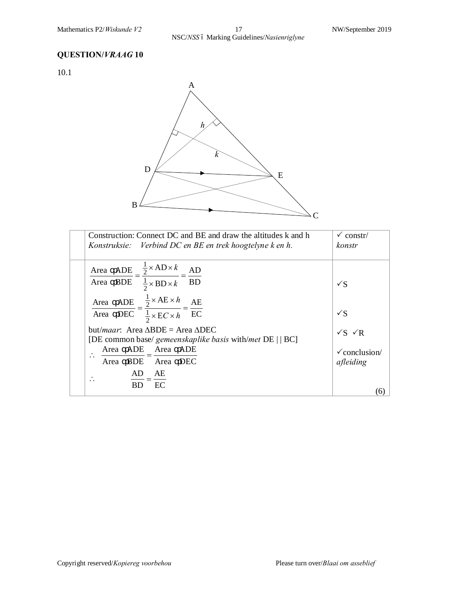10.1



| Construction: Connect DC and BE and draw the altitudes k and h<br>Konstruksie: Verbind DC en BE en trek hoogtelyne k en h.  | $\checkmark$ constr/<br>konstr        |
|-----------------------------------------------------------------------------------------------------------------------------|---------------------------------------|
| $\frac{1}{2}$ × AD × k<br>ADE<br>AD<br>Area<br>Area BDE $\frac{1}{2} \times BD \times k = BD$                               | $\sqrt{S}$                            |
| Area ADE = $\frac{1}{2} \times AE \times h$ = $\frac{AE}{BC}$<br>Area DEC = $\frac{1}{2} \times EC \times h$ = EC           | $\sqrt{S}$                            |
| but/ <i>maar</i> : Area $\triangle BDE =$ Area $\triangle DEC$<br>[DE common base/ gemeenskaplike basis with/met DE     BC] | $\sqrt{S}$ $\sqrt{R}$                 |
| Area ADE Area ADE<br>BDE Area DEC<br>Area                                                                                   | $\checkmark$ conclusion/<br>afleiding |
| AE<br>AD.<br>EC<br><b>BD</b>                                                                                                | $\epsilon$                            |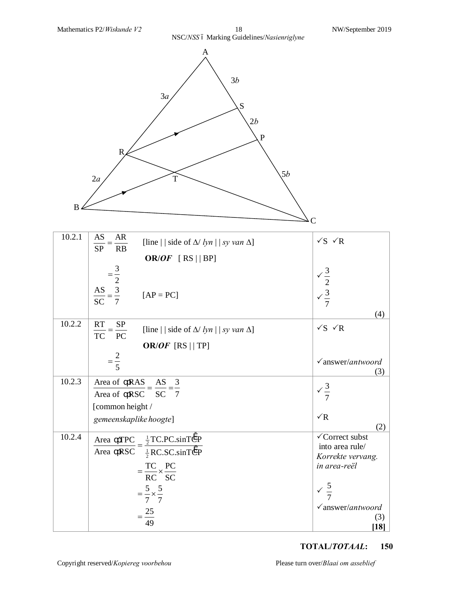

| 10.2.1 | AS<br>AR<br>[line     side of $\Delta$ / lyn     sy van $\Delta$ ]<br>SP<br>RB                                | $\sqrt{S}$ $\sqrt{R}$                                                   |
|--------|---------------------------------------------------------------------------------------------------------------|-------------------------------------------------------------------------|
|        | OR/OF $[RS  BP]$                                                                                              |                                                                         |
|        |                                                                                                               |                                                                         |
|        | $=\frac{3}{2}$ $\frac{AS}{SC} = \frac{3}{7}$<br>$[AP = PC]$                                                   | $\begin{array}{r} \sqrt{\frac{3}{2}} \\ \sqrt{\frac{3}{7}} \end{array}$ |
|        |                                                                                                               | (4)                                                                     |
| 10.2.2 | <b>RT</b><br><b>SP</b><br>[line     side of $\Delta$ / <i>lyn</i>     <i>sy van</i> $\Delta$ ]<br>TC PC       | $\sqrt{S}$ $\sqrt{R}$                                                   |
|        | OR/OF [RS $  $ TP]                                                                                            |                                                                         |
|        | $=\frac{2}{5}$                                                                                                |                                                                         |
|        |                                                                                                               | $\sqrt{a}$ nswer/antwoord<br>(3)                                        |
| 10.2.3 | Area of                                                                                                       |                                                                         |
|        | $\frac{\text{RAS}}{\text{max}} = \frac{\text{AS}}{\text{max}} = \frac{3}{2}$<br>Area of RSC SC 7              | $\frac{3}{7}$                                                           |
|        |                                                                                                               |                                                                         |
|        | [common height /                                                                                              |                                                                         |
|        | gemeenskaplike hoogte]                                                                                        | $\sqrt{R}$<br>(2)                                                       |
| 10.2.4 |                                                                                                               | √Correct subst                                                          |
|        | $\frac{\text{TPC}}{\text{F}} = \frac{\frac{1}{2}\text{TC.PC}.\text{sinTCP}}{2}$<br>Area                       | into area rule/                                                         |
|        | $\overline{\text{RSC}}$ $\overline{\frac{1}{2}\text{RC}.\text{SC}.\text{sinT}$ $\overline{\text{CP}}$<br>Area | Korrekte vervang.                                                       |
|        |                                                                                                               | in area-reël                                                            |
|        | $=\frac{TC}{RC} \times \frac{PC}{SC}$                                                                         |                                                                         |
|        | $=\frac{5}{2}\times\frac{5}{2}$                                                                               | $\sqrt{\frac{5}{7}}$                                                    |
|        | 7 7                                                                                                           |                                                                         |
|        |                                                                                                               | $\checkmark$ answer/antwoord                                            |
|        | $=\frac{25}{49}$                                                                                              | (3)                                                                     |
|        |                                                                                                               | $[18]$                                                                  |

#### **TOTAL/***TOTAAL***: 150**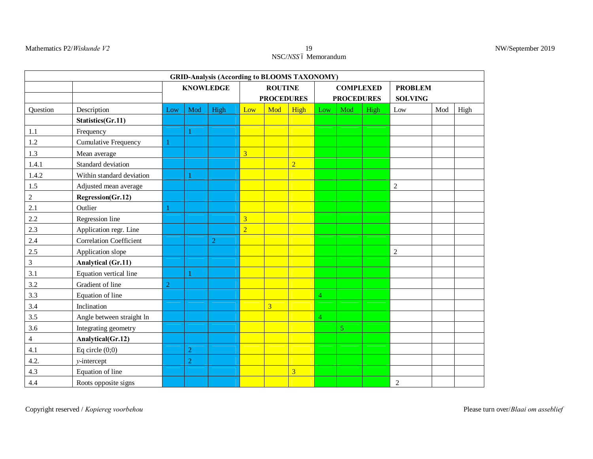#### Mathematics P2/*Wiskunde V2* 19

## NSC/NSS ó Memorandum

| NW/September 2019 |  |
|-------------------|--|
|-------------------|--|

|                   |                                |                |                | <b>GRID-Analysis (According to BLOOMS TAXONOMY)</b> |                         |                         |                         |                |                   |                |                |     |      |
|-------------------|--------------------------------|----------------|----------------|-----------------------------------------------------|-------------------------|-------------------------|-------------------------|----------------|-------------------|----------------|----------------|-----|------|
|                   |                                |                |                | <b>KNOWLEDGE</b><br><b>ROUTINE</b>                  |                         |                         | <b>COMPLEXED</b>        |                |                   | <b>PROBLEM</b> |                |     |      |
|                   |                                |                |                |                                                     |                         | <b>PROCEDURES</b>       |                         |                | <b>PROCEDURES</b> |                | <b>SOLVING</b> |     |      |
| Question          | Description                    | Low            | Mod            | High                                                | Low                     | Mod                     | High                    | Low            | Mod               | High           | Low            | Mod | High |
|                   | Statistics(Gr.11)              |                |                |                                                     |                         |                         |                         |                |                   |                |                |     |      |
| $1.1\,$           | Frequency                      |                |                |                                                     |                         |                         |                         |                |                   |                |                |     |      |
| $1.2\,$           | Cumulative Frequency           |                |                |                                                     |                         |                         |                         |                |                   |                |                |     |      |
| $1.3\,$           | Mean average                   |                |                |                                                     | $\overline{3}$          |                         |                         |                |                   |                |                |     |      |
| 1.4.1             | Standard deviation             |                |                |                                                     |                         |                         | $\overline{2}$          |                |                   |                |                |     |      |
| 1.4.2             | Within standard deviation      |                |                |                                                     |                         |                         |                         |                |                   |                |                |     |      |
|                   | Adjusted mean average          |                |                |                                                     |                         |                         |                         |                |                   |                | $\sqrt{2}$     |     |      |
| $\frac{1.5}{2}$   | Regression(Gr.12)              |                |                |                                                     |                         |                         |                         |                |                   |                |                |     |      |
| $2.1\,$           | Outlier                        |                |                |                                                     |                         |                         |                         |                |                   |                |                |     |      |
| $2.2\,$           | Regression line                |                |                |                                                     | $\overline{\mathbf{3}}$ |                         |                         |                |                   |                |                |     |      |
| 2.3               | Application regr. Line         |                |                |                                                     | $\overline{2}$          |                         |                         |                |                   |                |                |     |      |
| 2.4               | <b>Correlation Coefficient</b> |                |                | $\overline{2}$                                      |                         |                         |                         |                |                   |                |                |     |      |
|                   | Application slope              |                |                |                                                     |                         |                         |                         |                |                   |                | $\sqrt{2}$     |     |      |
| $\frac{2.5}{3}$   | <b>Analytical (Gr.11)</b>      |                |                |                                                     |                         |                         |                         |                |                   |                |                |     |      |
| $\frac{3.1}{5.1}$ | Equation vertical line         |                |                |                                                     |                         |                         |                         |                |                   |                |                |     |      |
| 3.2               | Gradient of line               | $\overline{2}$ |                |                                                     |                         |                         |                         |                |                   |                |                |     |      |
| 3.3               | Equation of line               |                |                |                                                     |                         |                         |                         | 4              |                   |                |                |     |      |
| 3.4               | Inclination                    |                |                |                                                     |                         | $\overline{\mathbf{3}}$ |                         |                |                   |                |                |     |      |
| 3.5               | Angle between straight ln      |                |                |                                                     |                         |                         |                         | $\overline{4}$ |                   |                |                |     |      |
| 3.6               | Integrating geometry           |                |                |                                                     |                         |                         |                         |                | $\overline{5}$    |                |                |     |      |
| $\overline{4}$    | Analytical(Gr.12)              |                |                |                                                     |                         |                         |                         |                |                   |                |                |     |      |
| 4.1               | Eq circle $(0,0)$              |                | $\overline{2}$ |                                                     |                         |                         |                         |                |                   |                |                |     |      |
| 4.2.              | $y$ -intercept                 |                | $\overline{2}$ |                                                     |                         |                         |                         |                |                   |                |                |     |      |
| $4.3$             | Equation of line               |                |                |                                                     |                         |                         | $\overline{\mathbf{3}}$ |                |                   |                |                |     |      |
| 4.4               | Roots opposite signs           |                |                |                                                     |                         |                         |                         |                |                   |                | $\overline{2}$ |     |      |

Copyright reserved / *Kopiereg voorbehou* Please turn over/*Blaai om asseblief*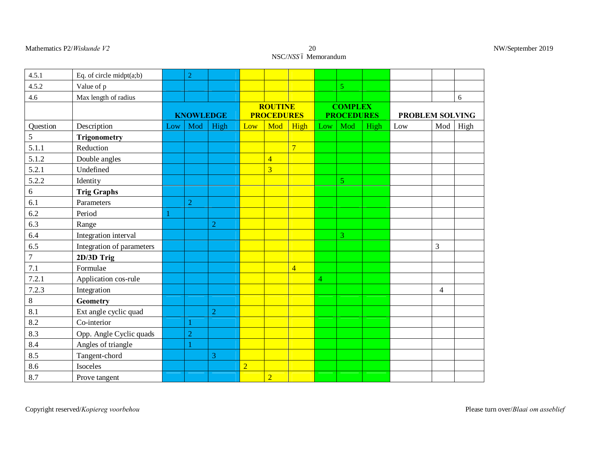#### Mathematics P2/*Wiskunde V2*

# 20<br>NSC/*NSS* ó Memorandum

| NW/September 2019 |  |  |
|-------------------|--|--|
|-------------------|--|--|

| 4.5.1                | Eq. of circle $mid(a;b)$  |                  | $\boldsymbol{2}$ |                |                |                                     |                |                                     |                |      |                        |     |      |
|----------------------|---------------------------|------------------|------------------|----------------|----------------|-------------------------------------|----------------|-------------------------------------|----------------|------|------------------------|-----|------|
| 4.5.2                | Value of p                |                  |                  |                |                |                                     |                |                                     | $\overline{5}$ |      |                        |     |      |
| 4.6                  | Max length of radius      |                  |                  |                |                |                                     |                |                                     |                |      |                        |     | 6    |
|                      |                           | <b>KNOWLEDGE</b> |                  |                |                | <b>ROUTINE</b><br><b>PROCEDURES</b> |                | <b>COMPLEX</b><br><b>PROCEDURES</b> |                |      | <b>PROBLEM SOLVING</b> |     |      |
| Question             | Description               | Low              | Mod              | High           | Low            | Mod                                 | High           | Low                                 | Mod            | High | Low                    | Mod | High |
| 5                    | <b>Trigonometry</b>       |                  |                  |                |                |                                     |                |                                     |                |      |                        |     |      |
| 5.1.1                | Reduction                 |                  |                  |                |                |                                     | $\overline{7}$ |                                     |                |      |                        |     |      |
| 5.1.2                | Double angles             |                  |                  |                |                | $\overline{4}$                      |                |                                     |                |      |                        |     |      |
| 5.2.1                | Undefined                 |                  |                  |                |                | $\overline{3}$                      |                |                                     |                |      |                        |     |      |
| 5.2.2                | Identity                  |                  |                  |                |                |                                     |                |                                     | 5              |      |                        |     |      |
| $rac{6}{6.1}$<br>6.2 | <b>Trig Graphs</b>        |                  |                  |                |                |                                     |                |                                     |                |      |                        |     |      |
|                      | Parameters                |                  | $\overline{2}$   |                |                |                                     |                |                                     |                |      |                        |     |      |
|                      | Period                    |                  |                  |                |                |                                     |                |                                     |                |      |                        |     |      |
| 6.3                  | Range                     |                  |                  | $\overline{2}$ |                |                                     |                |                                     |                |      |                        |     |      |
|                      | Integration interval      |                  |                  |                |                |                                     |                |                                     | 3              |      |                        |     |      |
| $\frac{6.4}{6.5}$    | Integration of parameters |                  |                  |                |                |                                     |                |                                     |                |      |                        | 3   |      |
| $\frac{7}{7.1}$      | 2D/3D Trig                |                  |                  |                |                |                                     |                |                                     |                |      |                        |     |      |
|                      | Formulae                  |                  |                  |                |                |                                     | $\overline{4}$ |                                     |                |      |                        |     |      |
| 7.2.1                | Application cos-rule      |                  |                  |                |                |                                     |                | $\overline{4}$                      |                |      |                        |     |      |
| $\frac{7.2.3}{8}$    | Integration               |                  |                  |                |                |                                     |                |                                     |                |      |                        | 4   |      |
|                      | Geometry                  |                  |                  |                |                |                                     |                |                                     |                |      |                        |     |      |
| 8.1                  | Ext angle cyclic quad     |                  |                  | $\overline{2}$ |                |                                     |                |                                     |                |      |                        |     |      |
|                      | Co-interior               |                  | $\mathbf{1}$     |                |                |                                     |                |                                     |                |      |                        |     |      |
| $\frac{8.2}{8.3}$    | Opp. Angle Cyclic quads   |                  | $\overline{2}$   |                |                |                                     |                |                                     |                |      |                        |     |      |
|                      | Angles of triangle        |                  |                  |                |                |                                     |                |                                     |                |      |                        |     |      |
| $\frac{8.4}{8.5}$    | Tangent-chord             |                  |                  | 3              |                |                                     |                |                                     |                |      |                        |     |      |
| 8.6                  | Isoceles                  |                  |                  |                | $\overline{2}$ |                                     |                |                                     |                |      |                        |     |      |
| 8.7                  | Prove tangent             |                  |                  |                |                | $\overline{2}$                      |                |                                     |                |      |                        |     |      |

Copyright reserved/*Kopiereg voorbehou* Please turn over/*Blaai om asseblief*